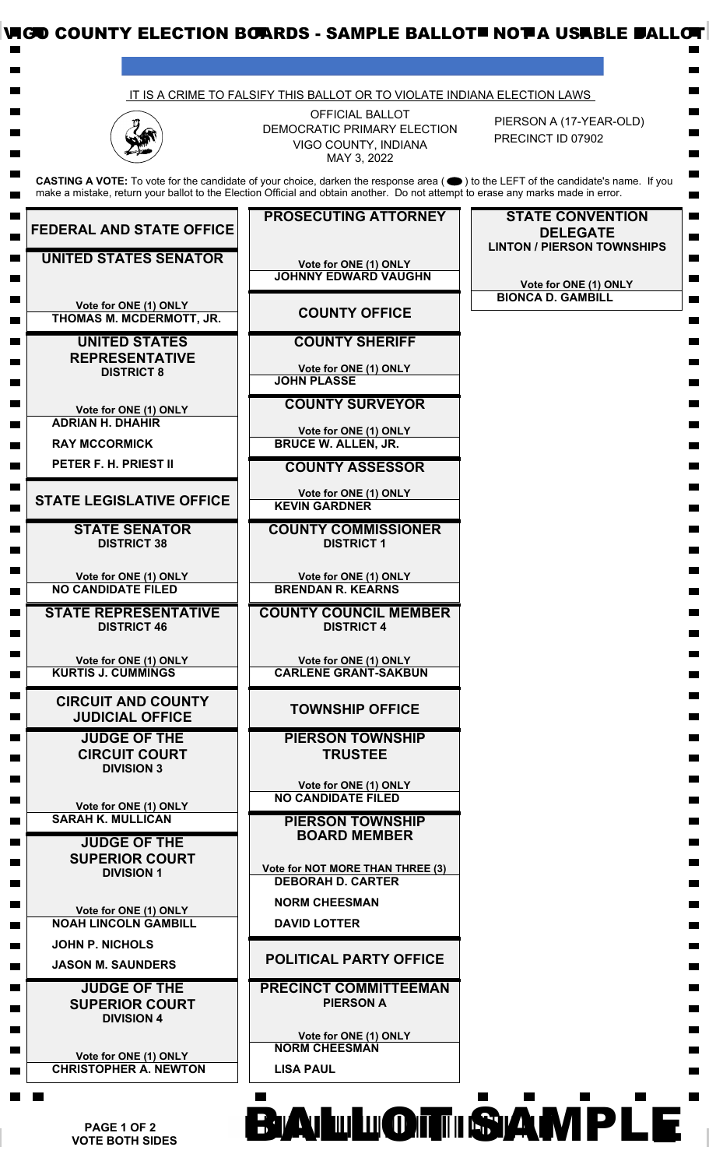